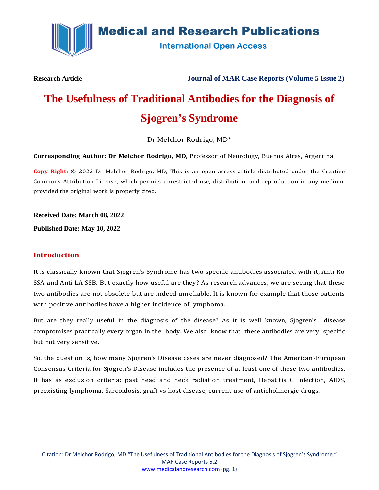

# **Medical and Research Publications**

**International Open Access** 

**Research Article Journal of MAR Case Reports (Volume 5 Issue 2)**

# **The Usefulness of Traditional Antibodies for the Diagnosis of Sjogren's Syndrome**

Dr Melchor Rodrigo, MD\*

**Corresponding Author: Dr Melchor Rodrigo, MD**, Professor of Neurology, Buenos Aires, Argentina

**Copy Right:** © 2022 Dr Melchor Rodrigo, MD, This is an open access article distributed under the Creative Commons Attribution License, which permits unrestricted use, distribution, and reproduction in any medium, provided the original work is properly cited.

**Received Date: March 08, 2022**

**Published Date: May 10, 2022**

#### **Introduction**

It is classically known that Sjogren's Syndrome has two specific antibodies associated with it, Anti Ro SSA and Anti LA SSB. But exactly how useful are they? As research advances, we are seeing that these two antibodies are not obsolete but are indeed unreliable. It is known for example that those patients with positive antibodies have a higher incidence of lymphoma.

But are they really useful in the diagnosis of the disease? As it is well known, Sjogren's disease compromises practically every organ in the body. We also know that these antibodies are very specific but not very sensitive.

So, the question is, how many Sjogren's Disease cases are never diagnosed? The American-European Consensus Criteria for Sjogren's Disease includes the presence of at least one of these two antibodies. It has as exclusion criteria: past head and neck radiation treatment, Hepatitis C infection, AIDS, preexisting lymphoma, Sarcoidosis, graft vs host disease, current use of anticholinergic drugs.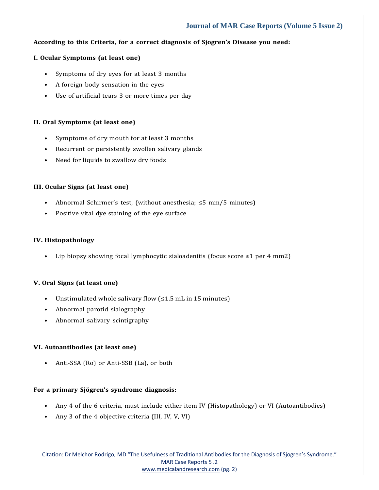## **Journal of MAR Case Reports (Volume 5 Issue 2)**

#### **According to this Criteria, for a correct diagnosis of Sjogren's Disease you need:**

#### **I. Ocular Symptoms (at least one)**

- Symptoms of dry eyes for at least 3 months
- A foreign body sensation in the eyes
- Use of artificial tears 3 or more times per day

#### **II. Oral Symptoms (at least one)**

- Symptoms of dry mouth for at least 3 months
- Recurrent or persistently swollen salivary glands
- Need for liquids to swallow dry foods

#### **III. Ocular Signs (at least one)**

- Abnormal Schirmer's test, (without anesthesia;  $\leq$ 5 mm/5 minutes)
- Positive vital dye staining of the eye surface

#### **IV. Histopathology**

• Lip biopsy showing focal lymphocytic sialoadenitis (focus score  $\geq 1$  per 4 mm2)

#### **V. Oral Signs (at least one)**

- Unstimulated whole salivary flow (≤1.5 mL in 15 minutes)
- Abnormal parotid sialography
- Abnormal salivary scintigraphy

#### **VI. Autoantibodies (at least one)**

• Anti-SSA (Ro) or Anti-SSB (La), or both

### **For a primary Sjögren's syndrome diagnosis:**

- Any 4 of the 6 criteria, must include either item IV (Histopathology) or VI (Autoantibodies)
- Any 3 of the 4 objective criteria (III, IV, V, VI)

Citation: Dr Melchor Rodrigo, MD "The Usefulness of Traditional Antibodies for the Diagnosis of Sjogren's Syndrome." MAR Case Reports 5 .2 [www.medicalandresearch.com](http://www.medicalandresearch.com/) (pg. 2)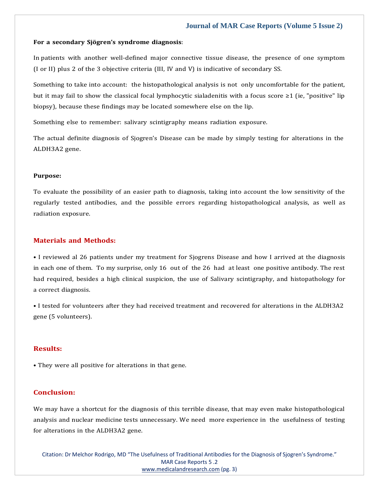#### **Journal of MAR Case Reports (Volume 5 Issue 2)**

#### **For a secondary Sjögren's syndrome diagnosis**:

In patients with another well-defined major connective tissue disease, the presence of one symptom (I or II) plus 2 of the 3 objective criteria (III, IV and V) is indicative of secondary SS.

Something to take into account: the histopathological analysis is not only uncomfortable for the patient, but it may fail to show the classical focal lymphocytic sialadenitis with a focus score ≥1 (ie, "positive" lip biopsy), because these findings may be located somewhere else on the lip.

Something else to remember: salivary scintigraphy means radiation exposure.

The actual definite diagnosis of Sjogren's Disease can be made by simply testing for alterations in the ALDH3A2 gene.

#### **Purpose:**

To evaluate the possibility of an easier path to diagnosis, taking into account the low sensitivity of the regularly tested antibodies, and the possible errors regarding histopathological analysis, as well as radiation exposure.

#### **Materials and Methods:**

• I reviewed al 26 patients under my treatment for Sjogrens Disease and how I arrived at the diagnosis in each one of them. To my surprise, only 16 out of the 26 had at least one positive antibody. The rest had required, besides a high clinical suspicion, the use of Salivary scintigraphy, and histopathology for a correct diagnosis.

• I tested for volunteers after they had received treatment and recovered for alterations in the ALDH3A2 gene (5 volunteers).

#### **Results:**

• They were all positive for alterations in that gene.

#### **Conclusion:**

We may have a shortcut for the diagnosis of this terrible disease, that may even make histopathological analysis and nuclear medicine tests unnecessary. We need more experience in the usefulness of testing for alterations in the ALDH3A2 gene.

Citation: Dr Melchor Rodrigo, MD "The Usefulness of Traditional Antibodies for the Diagnosis of Sjogren's Syndrome." MAR Case Reports 5 .2 [www.medicalandresearch.com](http://www.medicalandresearch.com/) (pg. 3)